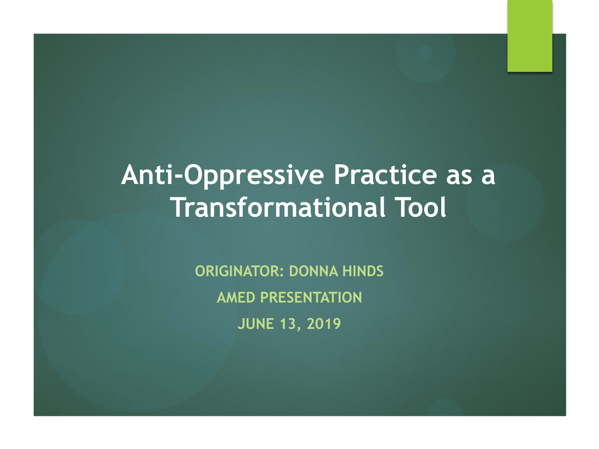# **Anti-Oppressive Practice as a Transformational Tool**

**ORIGINATOR: DONNA HINDS AMED PRESENTATION JUNE 13, 2019**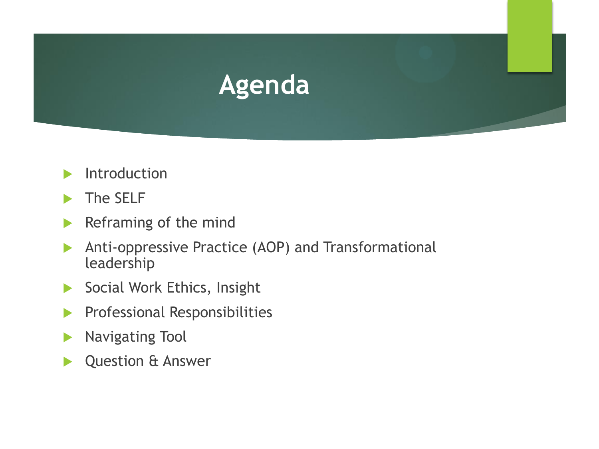

- Introduction
- The SELF
- Reframing of the mind
- Anti-oppressive Practice (AOP) and Transformational leadership
- Social Work Ethics, Insight
- **Professional Responsibilities**
- **Navigating Tool**
- Question & Answer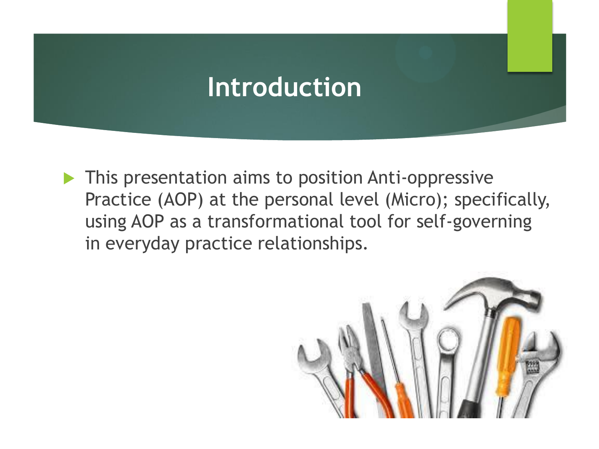#### **Introduction**

 This presentation aims to position Anti-oppressive Practice (AOP) at the personal level (Micro); specifically, using AOP as a transformational tool for self-governing in everyday practice relationships.

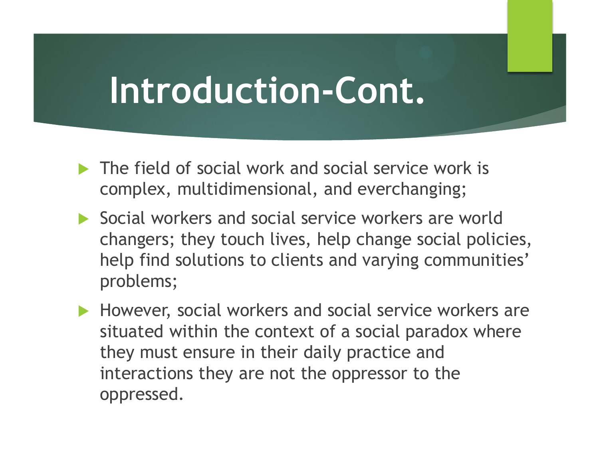- **The field of social work and social service work is** complex, multidimensional, and everchanging;
- Social workers and social service workers are world changers; they touch lives, help change social policies, help find solutions to clients and varying communities' problems;
- However, social workers and social service workers are situated within the context of a social paradox where they must ensure in their daily practice and interactions they are not the oppressor to the oppressed.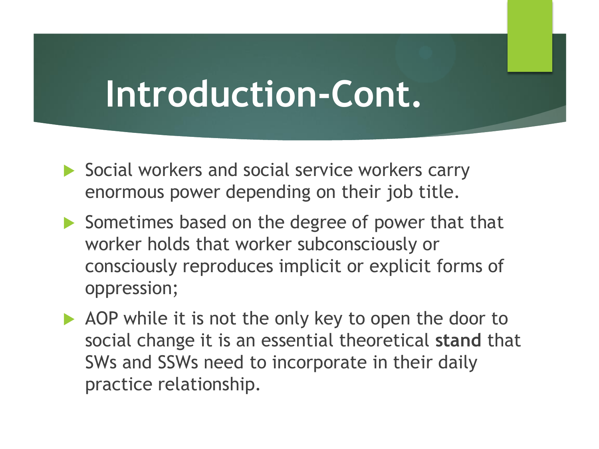- Social workers and social service workers carry enormous power depending on their job title.
- Sometimes based on the degree of power that that worker holds that worker subconsciously or consciously reproduces implicit or explicit forms of oppression;
- AOP while it is not the only key to open the door to social change it is an essential theoretical **stand** that SWs and SSWs need to incorporate in their daily practice relationship.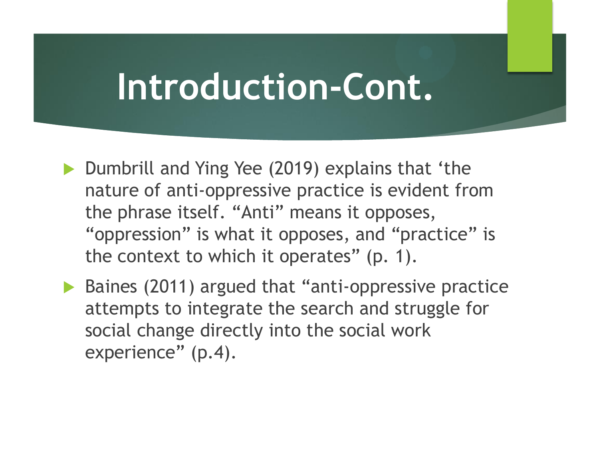- ▶ Dumbrill and Ying Yee (2019) explains that 'the nature of anti-oppressive practice is evident from the phrase itself. "Anti" means it opposes, "oppression" is what it opposes, and "practice" is the context to which it operates" (p. 1).
- ▶ Baines (2011) argued that "anti-oppressive practice attempts to integrate the search and struggle for social change directly into the social work experience" (p.4).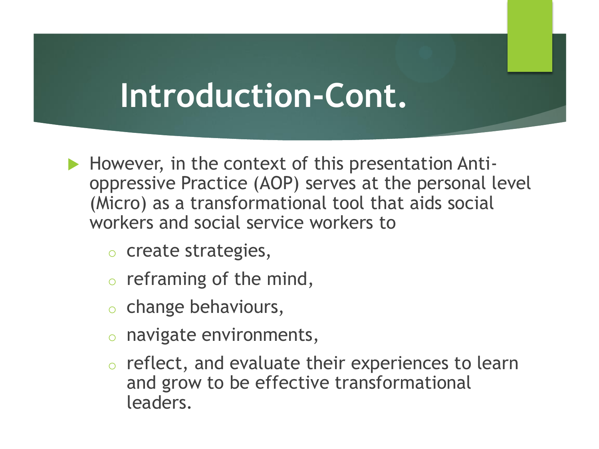- However, in the context of this presentation Antioppressive Practice (AOP) serves at the personal level (Micro) as a transformational tool that aids social workers and social service workers to
	- o create strategies,
	- $\circ$  reframing of the mind,
	- o change behaviours,
	- o navigate environments,
	- o reflect, and evaluate their experiences to learn and grow to be effective transformational leaders.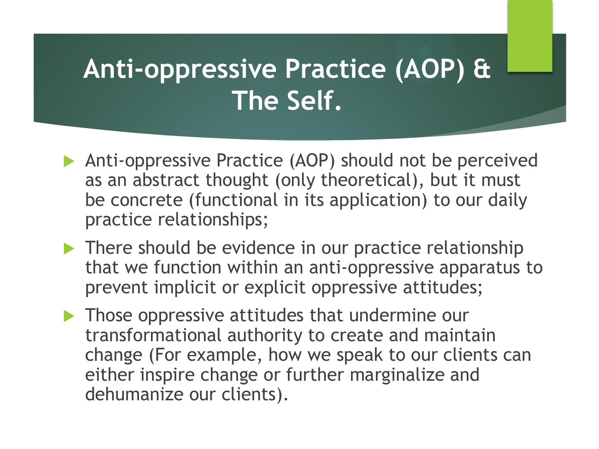- Anti-oppressive Practice (AOP) should not be perceived as an abstract thought (only theoretical), but it must be concrete (functional in its application) to our daily practice relationships;
- **There should be evidence in our practice relationship** that we function within an anti-oppressive apparatus to prevent implicit or explicit oppressive attitudes;
- **Those oppressive attitudes that undermine our** transformational authority to create and maintain change (For example, how we speak to our clients can either inspire change or further marginalize and dehumanize our clients).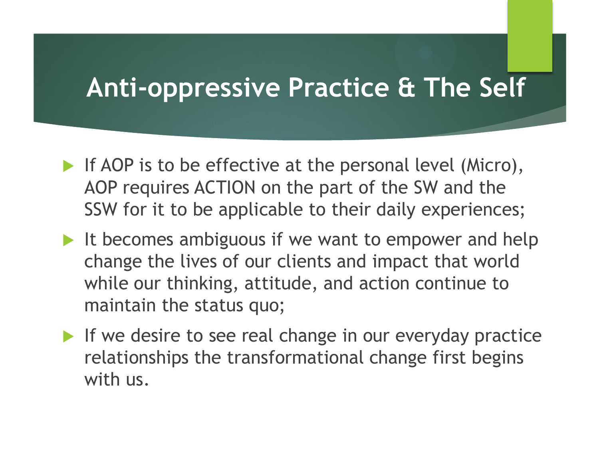#### **Anti-oppressive Practice & The Self**

- If AOP is to be effective at the personal level (Micro), AOP requires ACTION on the part of the SW and the SSW for it to be applicable to their daily experiences;
- It becomes ambiguous if we want to empower and help change the lives of our clients and impact that world while our thinking, attitude, and action continue to maintain the status quo;
- If we desire to see real change in our everyday practice relationships the transformational change first begins with us.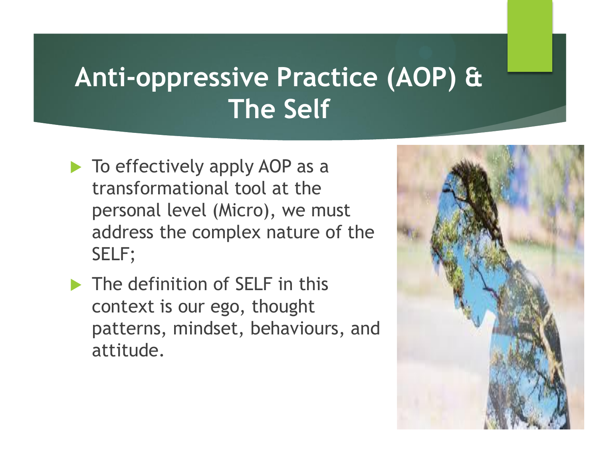- $\blacktriangleright$  To effectively apply AOP as a transformational tool at the personal level (Micro), we must address the complex nature of the SELF;
- The definition of SELF in this context is our ego, thought patterns, mindset, behaviours, and attitude.

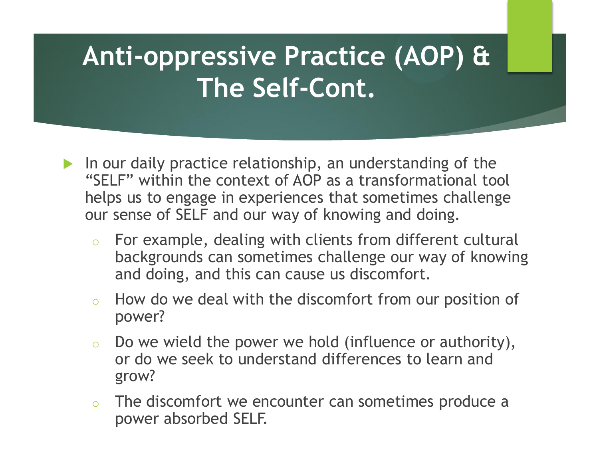- In our daily practice relationship, an understanding of the "SELF" within the context of AOP as a transformational tool helps us to engage in experiences that sometimes challenge our sense of SELF and our way of knowing and doing.
	- o For example, dealing with clients from different cultural backgrounds can sometimes challenge our way of knowing and doing, and this can cause us discomfort.
	- $\circ$  How do we deal with the discomfort from our position of power?
	- $\circ$  Do we wield the power we hold (influence or authority), or do we seek to understand differences to learn and grow?
	- $\circ$  The discomfort we encounter can sometimes produce a power absorbed SELF.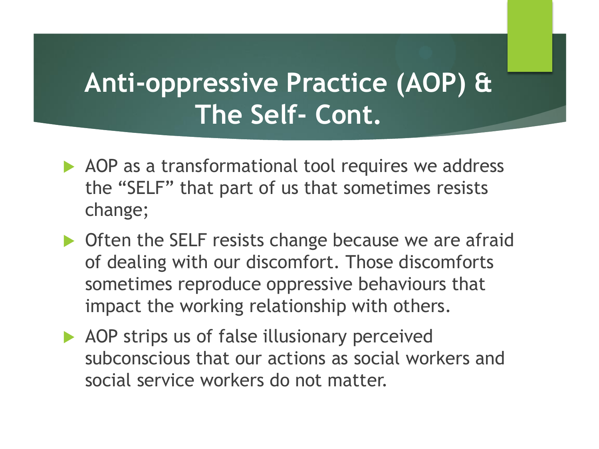- AOP as a transformational tool requires we address the "SELF" that part of us that sometimes resists change;
- ▶ Often the SELF resists change because we are afraid of dealing with our discomfort. Those discomforts sometimes reproduce oppressive behaviours that impact the working relationship with others.
- AOP strips us of false illusionary perceived subconscious that our actions as social workers and social service workers do not matter.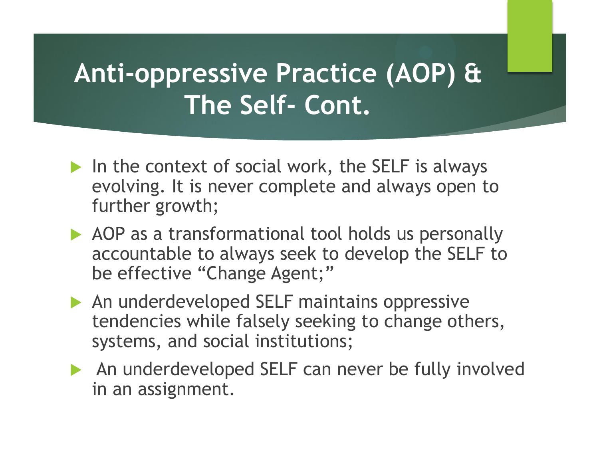- In the context of social work, the SELF is always evolving. It is never complete and always open to further growth;
- AOP as a transformational tool holds us personally accountable to always seek to develop the SELF to be effective "Change Agent;"
- An underdeveloped SELF maintains oppressive tendencies while falsely seeking to change others, systems, and social institutions;
- An underdeveloped SELF can never be fully involved in an assignment.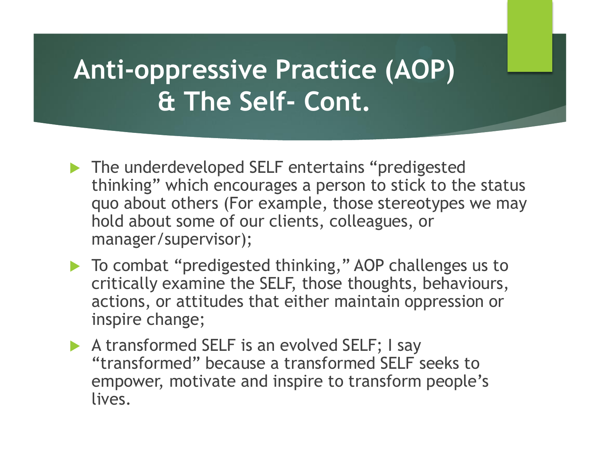- The underdeveloped SELF entertains "predigested thinking" which encourages a person to stick to the status quo about others (For example, those stereotypes we may hold about some of our clients, colleagues, or manager/supervisor);
- ▶ To combat "predigested thinking," AOP challenges us to critically examine the SELF, those thoughts, behaviours, actions, or attitudes that either maintain oppression or inspire change;
- A transformed SELF is an evolved SELF; I say "transformed" because a transformed SELF seeks to empower, motivate and inspire to transform people's lives.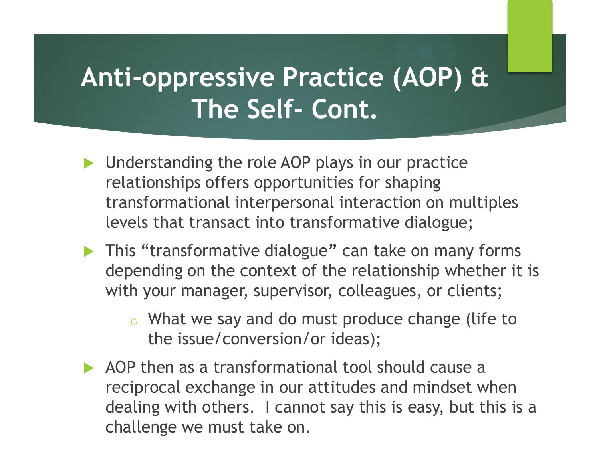- **Inderstanding the role AOP plays in our practice** relationships offers opportunities for shaping transformational interpersonal interaction on multiples levels that transact into transformative dialogue;
- This "transformative dialogue**"** can take on many forms depending on the context of the relationship whether it is with your manager, supervisor, colleagues, or clients;
	- o What we say and do must produce change (life to the issue/conversion/or ideas);
- AOP then as a transformational tool should cause a reciprocal exchange in our attitudes and mindset when dealing with others. I cannot say this is easy, but this is a challenge we must take on.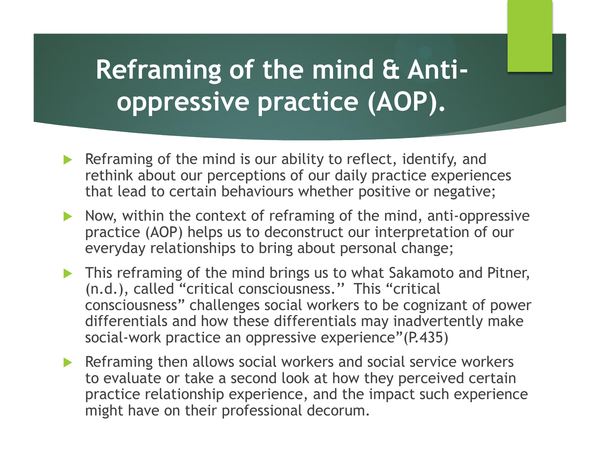#### **Reframing of the mind & Antioppressive practice (AOP).**

- Reframing of the mind is our ability to reflect, identify, and rethink about our perceptions of our daily practice experiences that lead to certain behaviours whether positive or negative;
- Now, within the context of reframing of the mind, anti-oppressive practice (AOP) helps us to deconstruct our interpretation of our everyday relationships to bring about personal change;
- **This reframing of the mind brings us to what Sakamoto and Pitner,** (n.d.), called "critical consciousness.'' This "critical consciousness" challenges social workers to be cognizant of power differentials and how these differentials may inadvertently make social-work practice an oppressive experience"(P.435)
- Reframing then allows social workers and social service workers to evaluate or take a second look at how they perceived certain practice relationship experience, and the impact such experience might have on their professional decorum.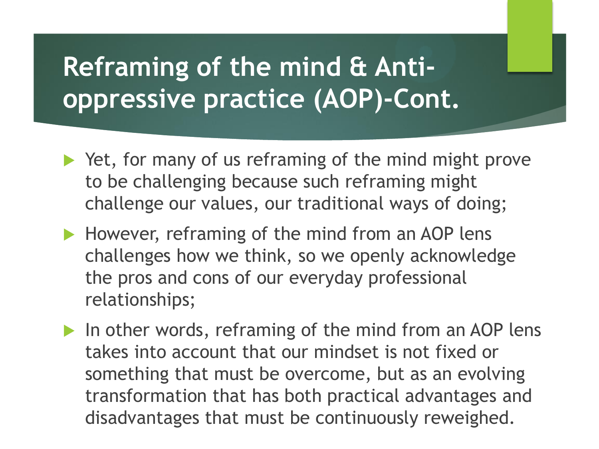### **Reframing of the mind & Antioppressive practice (AOP)-Cont.**

- ▶ Yet, for many of us reframing of the mind might prove to be challenging because such reframing might challenge our values, our traditional ways of doing;
- However, reframing of the mind from an AOP lens challenges how we think, so we openly acknowledge the pros and cons of our everyday professional relationships;
- In other words, reframing of the mind from an AOP lens takes into account that our mindset is not fixed or something that must be overcome, but as an evolving transformation that has both practical advantages and disadvantages that must be continuously reweighed.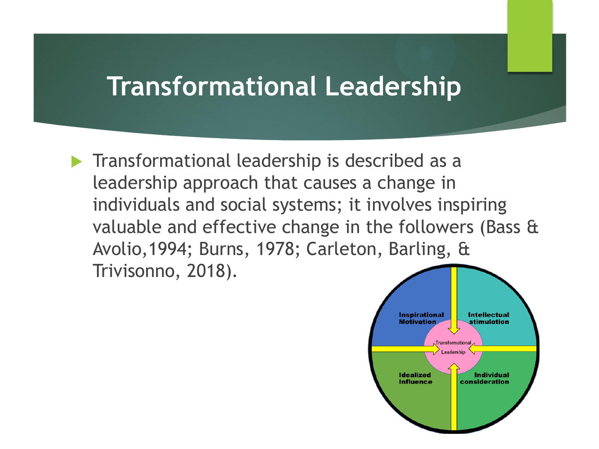#### **Transformational Leadership**

**Transformational leadership is described as a** leadership approach that causes a change in individuals and social systems; it involves inspiring valuable and effective change in the followers (Bass & Avolio,1994; Burns, 1978; Carleton, Barling, & Trivisonno, 2018).

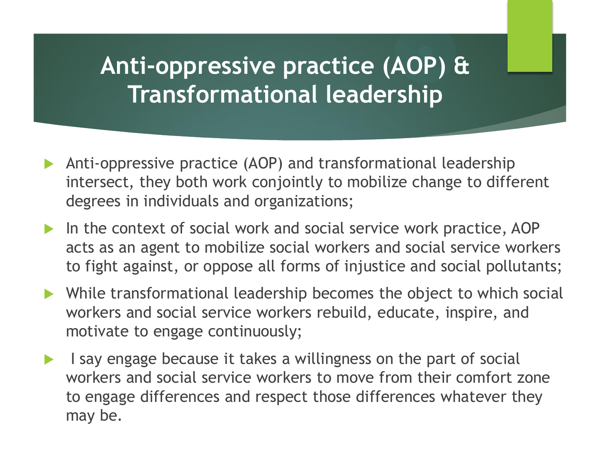#### **Anti-oppressive practice (AOP) & Transformational leadership**

- Anti-oppressive practice (AOP) and transformational leadership intersect, they both work conjointly to mobilize change to different degrees in individuals and organizations;
- In the context of social work and social service work practice, AOP acts as an agent to mobilize social workers and social service workers to fight against, or oppose all forms of injustice and social pollutants;
- While transformational leadership becomes the object to which social workers and social service workers rebuild, educate, inspire, and motivate to engage continuously;
- I say engage because it takes a willingness on the part of social workers and social service workers to move from their comfort zone to engage differences and respect those differences whatever they may be.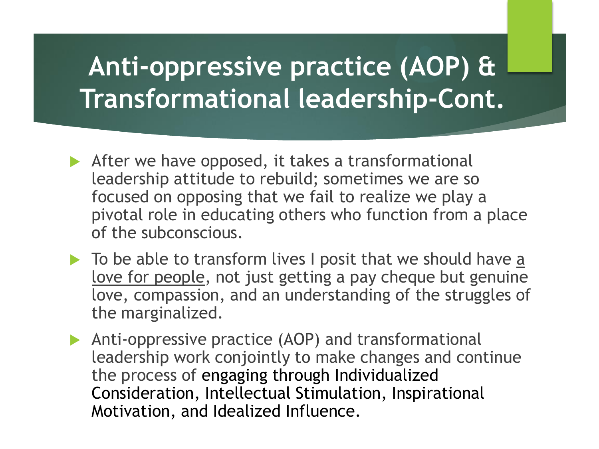### **Anti-oppressive practice (AOP) & Transformational leadership-Cont.**

- After we have opposed, it takes a transformational leadership attitude to rebuild; sometimes we are so focused on opposing that we fail to realize we play a pivotal role in educating others who function from a place of the subconscious.
- $\triangleright$  To be able to transform lives I posit that we should have  $\underline{a}$ love for people, not just getting a pay cheque but genuine love, compassion, and an understanding of the struggles of the marginalized.
- Anti-oppressive practice (AOP) and transformational leadership work conjointly to make changes and continue the process of engaging through Individualized Consideration, Intellectual Stimulation, Inspirational Motivation, and Idealized Influence.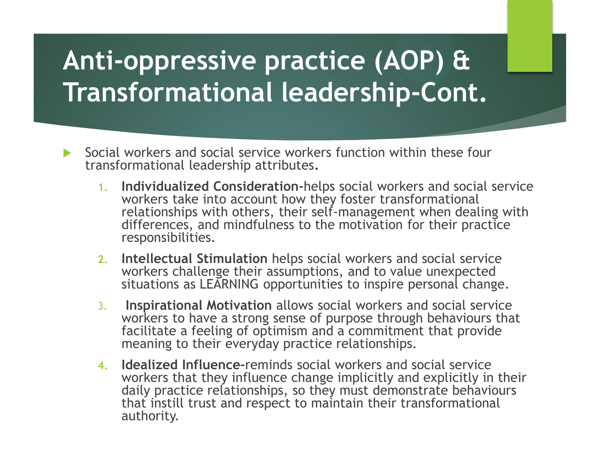# **Anti-oppressive practice (AOP) & Transformational leadership-Cont.**

- Social workers and social service workers function within these four transformational leadership attributes**.**
	- **1. Individualized Consideration-**helps social workers and social service workers take into account how they foster transformational relationships with others, their self-management when dealing with differences, and mindfulness to the motivation for their practice responsibilities.
	- **2. Intellectual Stimulation** helps social workers and social service workers challenge their assumptions, and to value unexpected situations as LEARNING opportunities to inspire personal change.
	- 3. **Inspirational Motivation** allows social workers and social service workers to have a strong sense of purpose through behaviours that facilitate a feeling of optimism and a commitment that provide meaning to their everyday practice relationships.
	- **4. Idealized Influence-**reminds social workers and social service workers that they influence change implicitly and explicitly in their daily practice relationships, so they must demonstrate behaviours that instill trust and respect to maintain their transformational authority.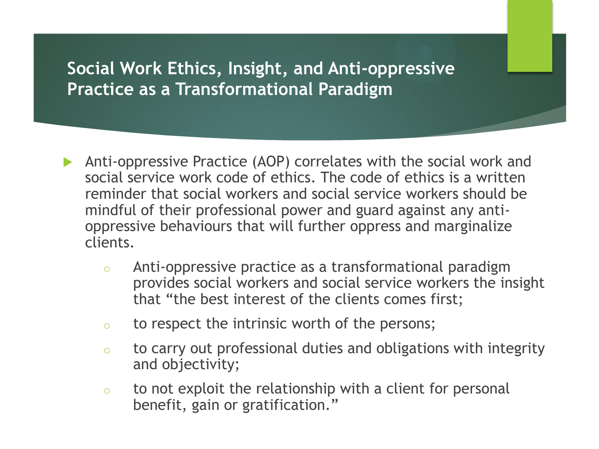#### **Social Work Ethics, Insight, and Anti-oppressive Practice as a Transformational Paradigm**

- Anti-oppressive Practice (AOP) correlates with the social work and social service work code of ethics. The code of ethics is a written reminder that social workers and social service workers should be mindful of their professional power and guard against any antioppressive behaviours that will further oppress and marginalize clients.
	- o Anti-oppressive practice as a transformational paradigm provides social workers and social service workers the insight that "the best interest of the clients comes first;
	- o to respect the intrinsic worth of the persons;
	- o to carry out professional duties and obligations with integrity and objectivity;
	- $\circ$  to not exploit the relationship with a client for personal benefit, gain or gratification."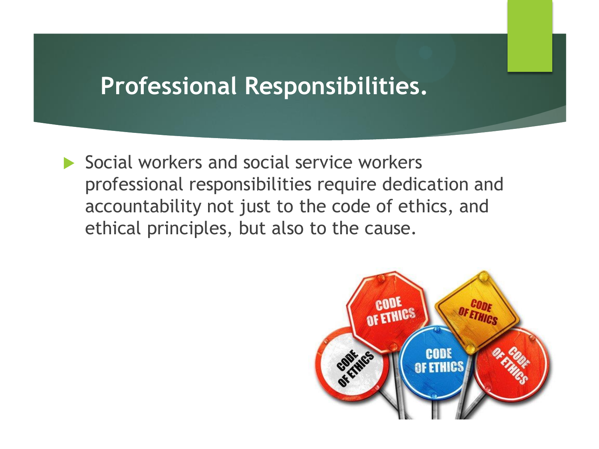#### **Professional Responsibilities.**

Social workers and social service workers professional responsibilities require dedication and accountability not just to the code of ethics, and ethical principles, but also to the cause.

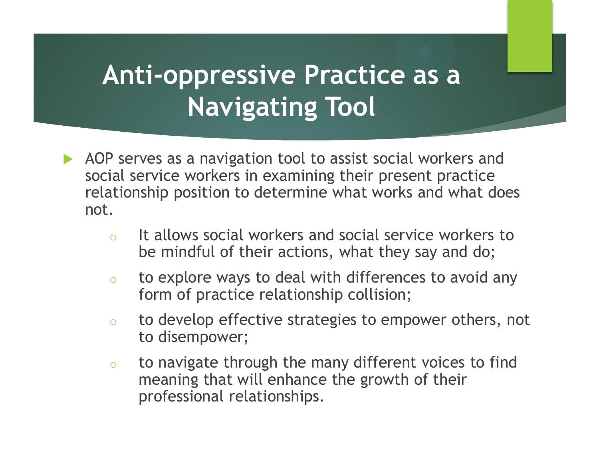## **Anti-oppressive Practice as a Navigating Tool**

- AOP serves as a navigation tool to assist social workers and social service workers in examining their present practice relationship position to determine what works and what does not.
	- o It allows social workers and social service workers to be mindful of their actions, what they say and do;
	- o to explore ways to deal with differences to avoid any form of practice relationship collision;
	- o to develop effective strategies to empower others, not to disempower;
	- o to navigate through the many different voices to find meaning that will enhance the growth of their professional relationships.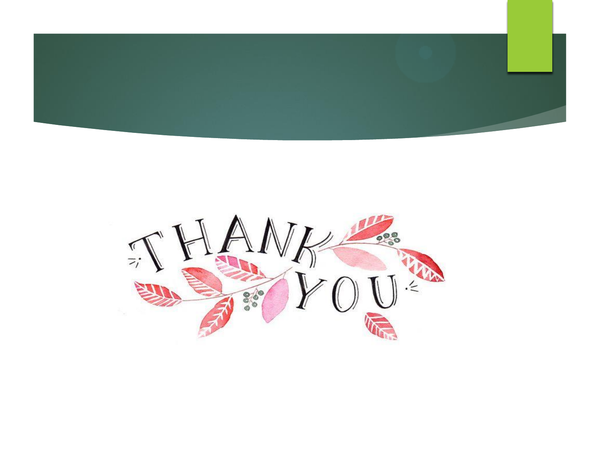